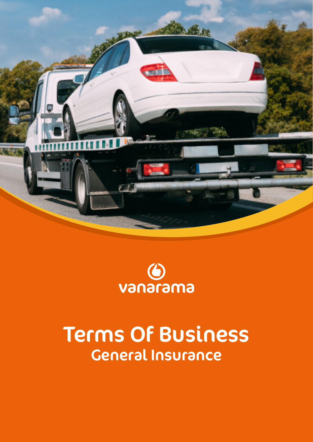



# Terms Of Business General Insurance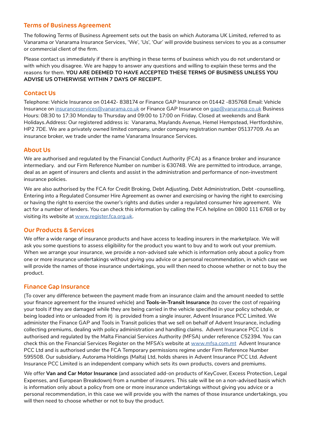# Terms of Business Agreement

The following Terms of Business Agreement sets out the basis on which Autorama UK Limited, referred to as Vanarama or Vanarama Insurance Services, 'We', 'Us', 'Our' will provide business services to you as a consumer or commercial client of the firm.

Please contact us immediately if there is anything in these terms of business which you do not understand or with which you disagree. We are happy to answer any questions and willing to explain these terms and the reasons for them. **YOU ARE DEEMED TO HAVE ACCEPTED THESE TERMS OF BUSINESS UNLESS YOU ADVISE US OTHERWISE WITHIN 7 DAYS OF RECEIPT.**

# Contact Us

Telephone: Vehicle Insurance on 01442- 838174 or Finance GAP Insurance on 01442 -835768 Email: Vehicle Insurance on [insuranceservices@vanarama.co.uk](http://insuranceservices@vanarama.co.uk) or Finance GAP Insurance on [gap@vanarama.co.uk](http://gap@vanarama.co.uk) Business Hours: 08:30 to 17:30 Monday to Thursday and 09:00 to 17:00 on Friday. Closed at weekends and Bank Holidays.Address: Our registered address is: Vanarama, Maylands Avenue, Hemel Hempstead, Hertfordshire, HP2 7DE. We are a privately owned limited company, under company registration number 05137709. As an insurance broker, we trade under the name Vanarama Insurance Services.

# About Us

We are authorised and regulated by the Financial Conduct Authority (FCA) as a finance broker and insurance intermediary. and our Firm Reference Number on number is 630748. We are permitted to introduce, arrange, deal as an agent of insurers and clients and assist in the administration and performance of non-investment insurance policies.

We are also authorised by the FCA for Credit Broking, Debt Adjusting, Debt Administration, Debt -counselling, Entering into a Regulated Consumer Hire Agreement as owner and exercising or having the right to exercising or having the right to exercise the owner's rights and duties under a regulated consumer hire agreement. We act for a number of lenders. You can check this information by calling the FCA helpline on 0800 111 6768 or by visiting its website at [www.register.fca.org.uk.](http://www.register.fca.org.uk)

# Our Products & Services

We offer a wide range of insurance products and have access to leading insurers in the marketplace. We will ask you some questions to assess eligibility for the product you want to buy and to work out your premium. When we arrange your insurance, we provide a non-advised sale which is information only about a policy from one or more insurance undertakings without giving you advice or a personal recommendation, in which case we will provide the names of those insurance undertakings, you will then need to choose whether or not to buy the product.

# Finance Gap Insurance

(To cover any difference between the payment made from an insurance claim and the amount needed to settle your finance agreement for the insured vehicle) and **Tools-in-Transit Insurance** (to cover the cost of repairing your tools if they are damaged while they are being carried in the vehicle specified in your policy schedule, or being loaded into or unloaded from it) is provided from a single insurer, Advent Insurance PCC Limited. We administer the Finance GAP and Tools in Transit policies that we sell on behalf of Advent Insurance, including collecting premiums, dealing with policy administration and handling claims. Advent Insurance PCC Ltd is authorised and regulated by the Malta Financial Services Authority (MFSA) under reference C52394. You can check this on the Financial Services Register on the MFSA's website at [www.mfsa.com.mt](http://www.mfsa.com.mt) Advent Insurance PCC Ltd and is authorised under the FCA Temporary permissions regime under Firm Reference Number 595508. Our subsidiary, Autorama Holdings (Malta) Ltd, holds shares in Advent Insurance PCC Ltd. Advent Insurance PCC Limited is an independent company which sets its own products, covers and premiums.

We offer **Van and Car Motor Insurance** (and associated add-on products of KeyCover, Excess Protection, Legal Expenses, and European Breakdown) from a number of insurers. This sale will be on a non-advised basis which is information only about a policy from one or more insurance undertakings without giving you advice or a personal recommendation, in this case we will provide you with the names of those insurance undertakings, you will then need to choose whether or not to buy the product.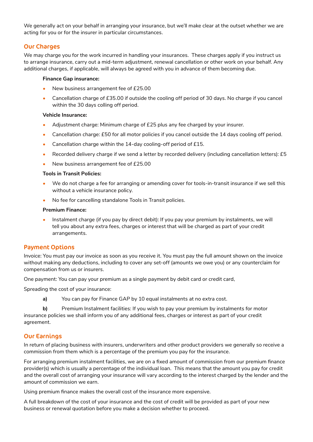We generally act on your behalf in arranging your insurance, but we'll make clear at the outset whether we are acting for you or for the insurer in particular circumstances.

# Our Charges

We may charge you for the work incurred in handling your insurances. These charges apply if you instruct us to arrange insurance, carry out a mid-term adjustment, renewal cancellation or other work on your behalf. Any additional charges, if applicable, will always be agreed with you in advance of them becoming due.

#### **Finance Gap insurance:**

- New business arrangement fee of £25.00
- Cancellation charge of £35.00 if outside the cooling off period of 30 days. No charge if you cancel within the 30 days colling off period.

#### **Vehicle Insurance:**

- Adjustment charge: Minimum charge of £25 plus any fee charged by your insurer.
- Cancellation charge: £50 for all motor policies if you cancel outside the 14 days cooling off period.
- Cancellation charge within the 14-day cooling-off period of £15.
- Recorded delivery charge if we send a letter by recorded delivery (including cancellation letters): £5
- New business arrangement fee of £25.00

#### **Tools in Transit Policies:**

- We do not charge a fee for arranging or amending cover for tools-in-transit insurance if we sell this without a vehicle insurance policy.
- No fee for cancelling standalone Tools in Transit policies.

#### **Premium Finance:**

• Instalment charge (if you pay by direct debit): If you pay your premium by instalments, we will tell you about any extra fees, charges or interest that will be charged as part of your credit arrangements.

# Payment Options

Invoice: You must pay our invoice as soon as you receive it. You must pay the full amount shown on the invoice without making any deductions, including to cover any set-off (amounts we owe you) or any counterclaim for compensation from us or insurers.

One payment: You can pay your premium as a single payment by debit card or credit card,

Spreading the cost of your insurance:

**a)** You can pay for Finance GAP by 10 equal instalments at no extra cost.

**b)** Premium Instalment facilities: If you wish to pay your premium by instalments for motor insurance policies we shall inform you of any additional fees, charges or interest as part of your credit agreement.

# Our Earnings

In return of placing business with insurers, underwriters and other product providers we generally so receive a commission from them which is a percentage of the premium you pay for the insurance.

For arranging premium instalment facilities, we are on a fixed amount of commission from our premium finance provider(s) which is usually a percentage of the individual loan. This means that the amount you pay for credit and the overall cost of arranging your insurance will vary according to the interest charged by the lender and the amount of commission we earn.

Using premium finance makes the overall cost of the insurance more expensive.

A full breakdown of the cost of your insurance and the cost of credit will be provided as part of your new business or renewal quotation before you make a decision whether to proceed.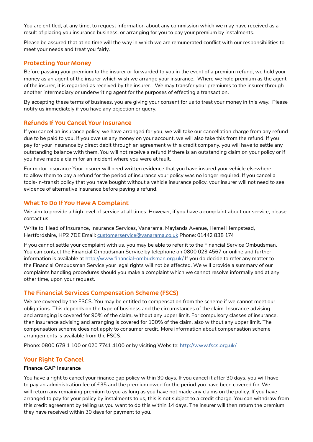You are entitled, at any time, to request information about any commission which we may have received as a result of placing you insurance business, or arranging for you to pay your premium by instalments.

Please be assured that at no time will the way in which we are remunerated conflict with our responsibilities to meet your needs and treat you fairly.

# Protecting Your Money

Before passing your premium to the insurer or forwarded to you in the event of a premium refund, we hold your money as an agent of the insurer which wish we arrange your insurance. Where we hold premium as the agent of the insurer, it is regarded as received by the insurer. . We may transfer your premiums to the insurer through another intermediary or underwriting agent for the purposes of effecting a transaction.

By accepting these terms of business, you are giving your consent for us to treat your money in this way. Please notify us immediately if you have any objection or query.

## Refunds If You Cancel Your Insurance

If you cancel an insurance policy, we have arranged for you, we will take our cancellation charge from any refund due to be paid to you. If you owe us any money on your account, we will also take this from the refund. If you pay for your insurance by direct debit through an agreement with a credit company, you will have to settle any outstanding balance with them. You will not receive a refund if there is an outstanding claim on your policy or if you have made a claim for an incident where you were at fault.

For motor insurance Your insurer will need written evidence that you have insured your vehicle elsewhere to allow them to pay a refund for the period of insurance your policy was no longer required. If you cancel a tools-in-transit policy that you have bought without a vehicle insurance policy, your insurer will not need to see evidence of alternative insurance before paying a refund.

## What To Do If You Have A Complaint

We aim to provide a high level of service at all times. However, if you have a complaint about our service, please contact us.

Write to: Head of Insurance, Insurance Services, Vanarama, Maylands Avenue, Hemel Hempstead, Hertfordshire, HP2 7DE Email: [customerservice@vanarama.co.uk](http://customerservice@vanarama.co.uk) Phone: 01442 838 174

If you cannot settle your complaint with us, you may be able to refer it to the Financial Service Ombudsman. You can contact the Financial Ombudsman Service by telephone on 0800 023 4567 or online and further information is available at <http://www.financial-ombudsman.org.uk/> If you do decide to refer any matter to the Financial Ombudsman Service your legal rights will not be affected. We will provide a summary of our complaints handling procedures should you make a complaint which we cannot resolve informally and at any other time, upon your request.

# The Financial Services Compensation Scheme (FSCS)

We are covered by the FSCS. You may be entitled to compensation from the scheme if we cannot meet our obligations. This depends on the type of business and the circumstances of the claim. Insurance advising and arranging is covered for 90% of the claim, without any upper limit. For compulsory classes of insurance, then insurance advising and arranging is covered for 100% of the claim, also without any upper limit. The compensation scheme does not apply to consumer credit. More information about compensation scheme arrangements is available from the FSCS.

Phone: 0800 678 1 100 or 020 7741 4100 or by visiting Website: [http://www.fscs.org.uk/](http://www.fscs.org.uk/ )

# Your Right To Cancel

#### **Finance GAP Insurance**

You have a right to cancel your finance gap policy within 30 days. If you cancel it after 30 days, you will have to pay an administration fee of £35 and the premium owed for the period you have been covered for. We will return any remaining premium to you as long as you have not made any claims on the policy. If you have arranged to pay for your policy by instalments to us, this is not subject to a credit charge. You can withdraw from this credit agreement by telling us you want to do this within 14 days. The insurer will then return the premium they have received within 30 days for payment to you.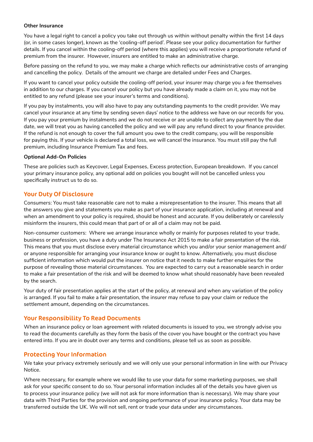#### **Other Insurance**

You have a legal right to cancel a policy you take out through us within without penalty within the first 14 days (or, in some cases longer), known as the 'cooling-off period'. Please see your policy documentation for further details. If you cancel within the cooling-off period (where this applies) you will receive a proportionate refund of premium from the insurer. However, insurers are entitled to make an administrative charge.

Before passing on the refund to you, we may make a charge which reflects our administrative costs of arranging and cancelling the policy. Details of the amount we charge are detailed under Fees and Charges.

If you want to cancel your policy outside the cooling-off period, your insurer may charge you a fee themselves in addition to our charges. If you cancel your policy but you have already made a claim on it, you may not be entitled to any refund (please see your insurer's terms and conditions).

If you pay by instalments, you will also have to pay any outstanding payments to the credit provider. We may cancel your insurance at any time by sending seven days' notice to the address we have on our records for you. If you pay your premium by instalments and we do not receive or are unable to collect any payment by the due date, we will treat you as having cancelled the policy and we will pay any refund direct to your finance provider. If the refund is not enough to cover the full amount you owe to the credit company, you will be responsible for paying this. If your vehicle is declared a total loss, we will cancel the insurance. You must still pay the full premium, including Insurance Premium Tax and fees.

## **Optional Add-On Policies**

These are policies such as Keycover, Legal Expenses, Excess protection, European breakdown. If you cancel your primary insurance policy, any optional add on policies you bought will not be cancelled unless you specifically instruct us to do so.

# Your Duty Of Disclosure

Consumers: You must take reasonable care not to make a misrepresentation to the insurer. This means that all the answers you give and statements you make as part of your insurance application, including at renewal and when an amendment to your policy is required, should be honest and accurate. If you deliberately or carelessly misinform the insurers, this could mean that part of or all of a claim may not be paid.

Non-consumer customers: Where we arrange insurance wholly or mainly for purposes related to your trade, business or profession, you have a duty under The Insurance Act 2015 to make a fair presentation of the risk. This means that you must disclose every material circumstance which you and/or your senior management and/ or anyone responsible for arranging your insurance know or ought to know. Alternatively, you must disclose sufficient information which would put the insurer on notice that it needs to make further enquiries for the purpose of revealing those material circumstances. You are expected to carry out a reasonable search in order to make a fair presentation of the risk and will be deemed to know what should reasonably have been revealed by the search.

Your duty of fair presentation applies at the start of the policy, at renewal and when any variation of the policy is arranged. If you fail to make a fair presentation, the insurer may refuse to pay your claim or reduce the settlement amount, depending on the circumstances.

# Your Responsibility To Read Documents

When an insurance policy or loan agreement with related documents is issued to you, we strongly advise you to read the documents carefully as they form the basis of the cover you have bought or the contract you have entered into. If you are in doubt over any terms and conditions, please tell us as soon as possible.

# Protecting Your Information

We take your privacy extremely seriously and we will only use your personal information in line with our Privacy Notice.

Where necessary, for example where we would like to use your data for some marketing purposes, we shall ask for your specific consent to do so. Your personal information includes all of the details you have given us to process your insurance policy (we will not ask for more information than is necessary). We may share your data with Third Parties for the provision and ongoing performance of your insurance policy. Your data may be transferred outside the UK. We will not sell, rent or trade your data under any circumstances.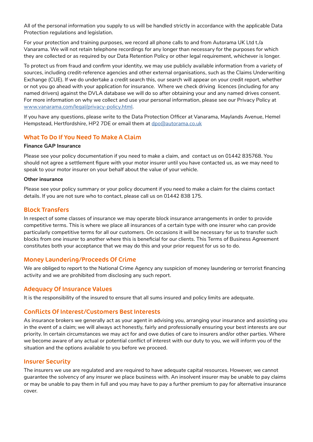All of the personal information you supply to us will be handled strictly in accordance with the applicable Data Protection regulations and legislation.

For your protection and training purposes, we record all phone calls to and from Autorama UK Ltd t./a Vanarama. We will not retain telephone recordings for any longer than necessary for the purposes for which they are collected or as required by our Data Retention Policy or other legal requirement, whichever is longer.

To protect us from fraud and confirm your identity, we may use publicly available information from a variety of sources, including credit-reference agencies and other external organisations, such as the Claims Underwriting Exchange (CUE). If we do undertake a credit search this, our search will appear on your credit report, whether or not you go ahead with your application for insurance. Where we check driving licences (including for any named drivers) against the DVLA database we will do so after obtaining your and any named drives consent. For more information on why we collect and use your personal information, please see our Privacy Policy at [www.vanarama.com/legal/privacy-policy.html](http://www.vanarama.com/legal/privacy-policy.html).

If you have any questions, please write to the Data Protection Officer at Vanarama, Maylands Avenue, Hemel Hempstead, Hertfordshire, HP2 7DE or email them at [dpo@autorama.co.uk](http://dpo@autorama.co.uk)

# What To Do If You Need To Make A Claim

#### **Finance GAP Insurance**

Please see your policy documentation if you need to make a claim, and contact us on 01442 835768. You should not agree a settlement figure with your motor insurer until you have contacted us, as we may need to speak to your motor insurer on your behalf about the value of your vehicle.

#### **Other insurance**

Please see your policy summary or your policy document if you need to make a claim for the claims contact details. If you are not sure who to contact, please call us on 01442 838 175.

# Block Transfers

In respect of some classes of insurance we may operate block insurance arrangements in order to provide competitive terms. This is where we place all insurances of a certain type with one insurer who can provide particularly competitive terms for all our customers. On occasions it will be necessary for us to transfer such blocks from one insurer to another where this is beneficial for our clients. This Terms of Business Agreement constitutes both your acceptance that we may do this and your prior request for us so to do.

# Money Laundering/Proceeds Of Crime

We are obliged to report to the National Crime Agency any suspicion of money laundering or terrorist financing activity and we are prohibited from disclosing any such report.

# Adequacy Of Insurance Values

It is the responsibility of the insured to ensure that all sums insured and policy limits are adequate.

#### Conflicts Of Interest/Customers Best Interests

As insurance brokers we generally act as your agent in advising you, arranging your insurance and assisting you in the event of a claim; we will always act honestly, fairly and professionally ensuring your best interests are our priority. In certain circumstances we may act for and owe duties of care to insurers and/or other parties. Where we become aware of any actual or potential conflict of interest with our duty to you, we will inform you of the situation and the options available to you before we proceed.

# Insurer Security

The insurers we use are regulated and are required to have adequate capital resources. However, we cannot guarantee the solvency of any insurer we place business with. An insolvent insurer may be unable to pay claims or may be unable to pay them in full and you may have to pay a further premium to pay for alternative insurance cover.